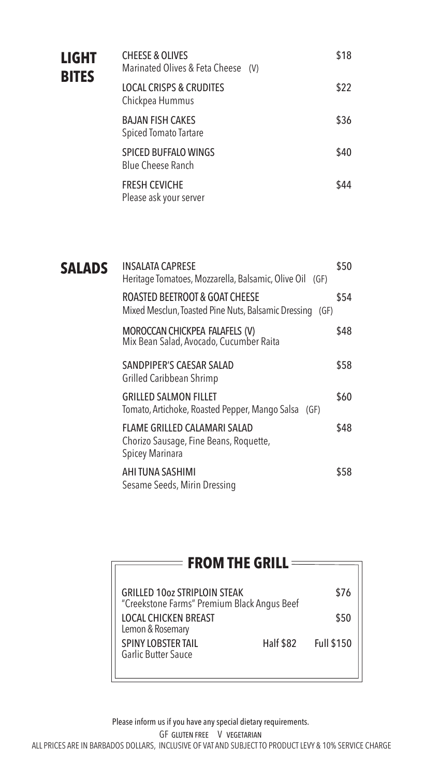| <b>LIGHT</b><br><b>BITES</b> | <b>CHEESE &amp; OLIVES</b><br>Marinated Olives & Feta Cheese (V) | \$18 |
|------------------------------|------------------------------------------------------------------|------|
|                              | <b>LOCAL CRISPS &amp; CRUDITES</b><br>Chickpea Hummus            | \$22 |
|                              | <b>BAJAN FISH CAKES</b><br><b>Spiced Tomato Tartare</b>          | \$36 |
|                              | <b>SPICED BUFFALO WINGS</b><br><b>Blue Cheese Ranch</b>          | \$40 |
|                              | <b>FRESH CEVICHE</b><br>Please ask your server                   | \$44 |

| <b>SALADS</b> | INSALATA CAPRESE<br>Heritage Tomatoes, Mozzarella, Balsamic, Olive Oil (GF)                   | \$50 |
|---------------|-----------------------------------------------------------------------------------------------|------|
|               | ROASTED BEETROOT & GOAT CHEESE<br>Mixed Mesclun, Toasted Pine Nuts, Balsamic Dressing<br>(GF) | \$54 |
|               | MOROCCAN CHICKPEA FALAFELS (V)<br>Mix Bean Salad, Avocado, Cucumber Raita                     | \$48 |
|               | SANDPIPER'S CAESAR SALAD<br>Grilled Caribbean Shrimp                                          | \$58 |
|               | <b>GRILLED SALMON FILLET</b><br>Tomato, Artichoke, Roasted Pepper, Mango Salsa (GF)           | \$60 |
|               | FLAME GRILLED CALAMARI SALAD<br>Chorizo Sausage, Fine Beans, Roquette,<br>Spicey Marinara     | \$48 |
|               | AHI TUNA SASHIMI<br>Sesame Seeds, Mirin Dressing                                              | \$58 |

| <b>FROM THE GRILL =</b>                                                            |           |            |  |  |
|------------------------------------------------------------------------------------|-----------|------------|--|--|
| <b>GRILLED 10oz STRIPLOIN STEAK</b><br>"Creekstone Farms" Premium Black Angus Beef |           | \$76       |  |  |
| <b>LOCAL CHICKEN BREAST</b><br>Lemon & Rosemary                                    |           | \$50       |  |  |
| <b>SPINY LOBSTER TAIL</b><br><b>Garlic Butter Sauce</b>                            | Half \$82 | Full \$150 |  |  |